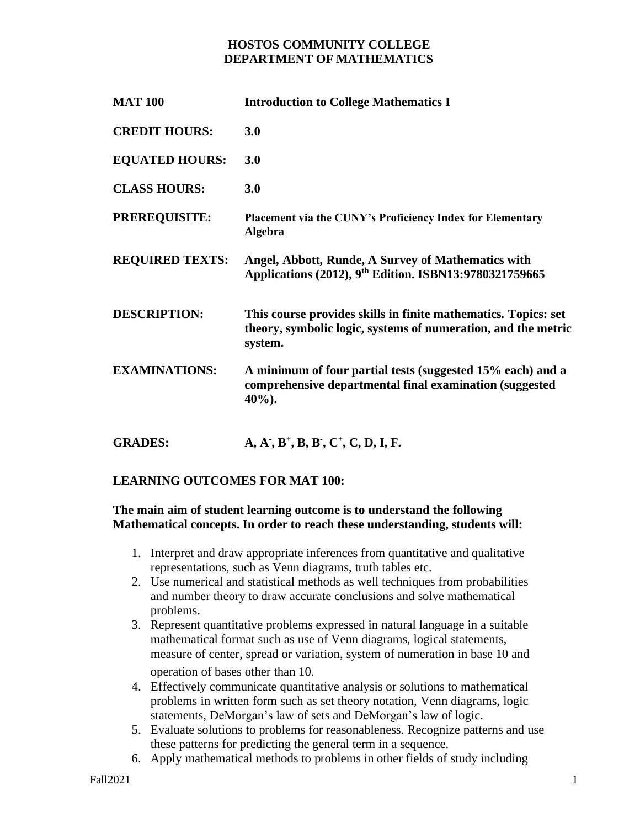## **HOSTOS COMMUNITY COLLEGE DEPARTMENT OF MATHEMATICS**

| <b>MAT 100</b>         | <b>Introduction to College Mathematics I</b>                                                                                               |
|------------------------|--------------------------------------------------------------------------------------------------------------------------------------------|
| <b>CREDIT HOURS:</b>   | 3.0                                                                                                                                        |
| <b>EQUATED HOURS:</b>  | 3.0                                                                                                                                        |
| <b>CLASS HOURS:</b>    | 3.0                                                                                                                                        |
| <b>PREREQUISITE:</b>   | Placement via the CUNY's Proficiency Index for Elementary<br><b>Algebra</b>                                                                |
| <b>REQUIRED TEXTS:</b> | Angel, Abbott, Runde, A Survey of Mathematics with<br>Applications (2012), 9 <sup>th</sup> Edition. ISBN13:9780321759665                   |
| <b>DESCRIPTION:</b>    | This course provides skills in finite mathematics. Topics: set<br>theory, symbolic logic, systems of numeration, and the metric<br>system. |
| <b>EXAMINATIONS:</b>   | A minimum of four partial tests (suggested 15% each) and a<br>comprehensive departmental final examination (suggested<br>$40%$ ).          |
| <b>GRADES:</b>         | $A, A', B^+, B, B', C^+, C, D, I, F.$                                                                                                      |

## **LEARNING OUTCOMES FOR MAT 100:**

#### **The main aim of student learning outcome is to understand the following Mathematical concepts. In order to reach these understanding, students will:**

- 1. Interpret and draw appropriate inferences from quantitative and qualitative representations, such as Venn diagrams, truth tables etc.
- 2. Use numerical and statistical methods as well techniques from probabilities and number theory to draw accurate conclusions and solve mathematical problems.
- 3. Represent quantitative problems expressed in natural language in a suitable mathematical format such as use of Venn diagrams, logical statements, measure of center, spread or variation, system of numeration in base 10 and operation of bases other than 10.
- 4. Effectively communicate quantitative analysis or solutions to mathematical problems in written form such as set theory notation, Venn diagrams, logic statements, DeMorgan's law of sets and DeMorgan's law of logic.
- 5. Evaluate solutions to problems for reasonableness. Recognize patterns and use these patterns for predicting the general term in a sequence.
- 6. Apply mathematical methods to problems in other fields of study including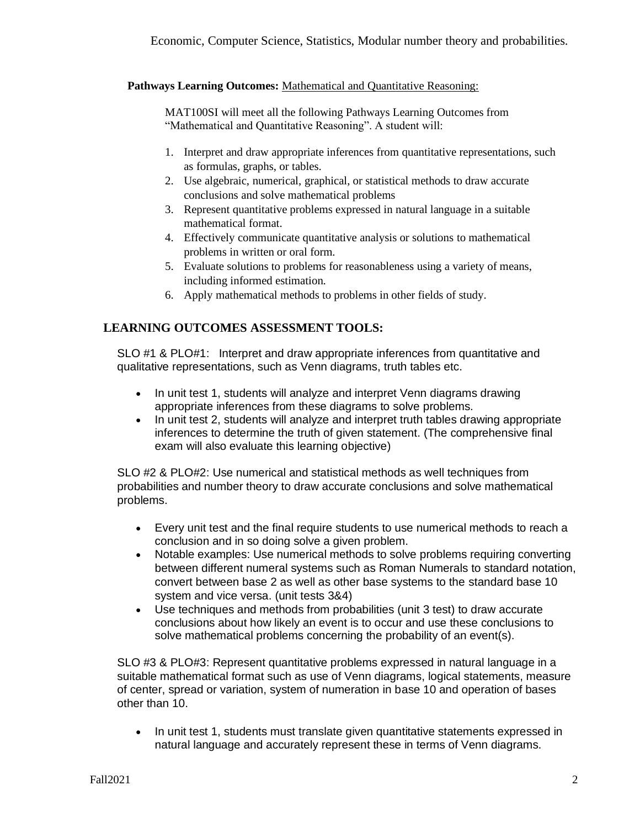#### Pathways Learning Outcomes: Mathematical and Quantitative Reasoning:

MAT100SI will meet all the following Pathways Learning Outcomes from "Mathematical and Quantitative Reasoning". A student will:

- 1. Interpret and draw appropriate inferences from quantitative representations, such as formulas, graphs, or tables.
- 2. Use algebraic, numerical, graphical, or statistical methods to draw accurate conclusions and solve mathematical problems
- 3. Represent quantitative problems expressed in natural language in a suitable mathematical format.
- 4. Effectively communicate quantitative analysis or solutions to mathematical problems in written or oral form.
- 5. Evaluate solutions to problems for reasonableness using a variety of means, including informed estimation.
- 6. Apply mathematical methods to problems in other fields of study.

## **LEARNING OUTCOMES ASSESSMENT TOOLS:**

SLO #1 & PLO#1: Interpret and draw appropriate inferences from quantitative and qualitative representations, such as Venn diagrams, truth tables etc.

- In unit test 1, students will analyze and interpret Venn diagrams drawing appropriate inferences from these diagrams to solve problems.
- In unit test 2, students will analyze and interpret truth tables drawing appropriate inferences to determine the truth of given statement. (The comprehensive final exam will also evaluate this learning objective)

SLO #2 & PLO#2: Use numerical and statistical methods as well techniques from probabilities and number theory to draw accurate conclusions and solve mathematical problems.

- Every unit test and the final require students to use numerical methods to reach a conclusion and in so doing solve a given problem.
- Notable examples: Use numerical methods to solve problems requiring converting between different numeral systems such as Roman Numerals to standard notation, convert between base 2 as well as other base systems to the standard base 10 system and vice versa. (unit tests 3&4)
- Use techniques and methods from probabilities (unit 3 test) to draw accurate conclusions about how likely an event is to occur and use these conclusions to solve mathematical problems concerning the probability of an event(s).

SLO #3 & PLO#3: Represent quantitative problems expressed in natural language in a suitable mathematical format such as use of Venn diagrams, logical statements, measure of center, spread or variation, system of numeration in base 10 and operation of bases other than 10.

• In unit test 1, students must translate given quantitative statements expressed in natural language and accurately represent these in terms of Venn diagrams.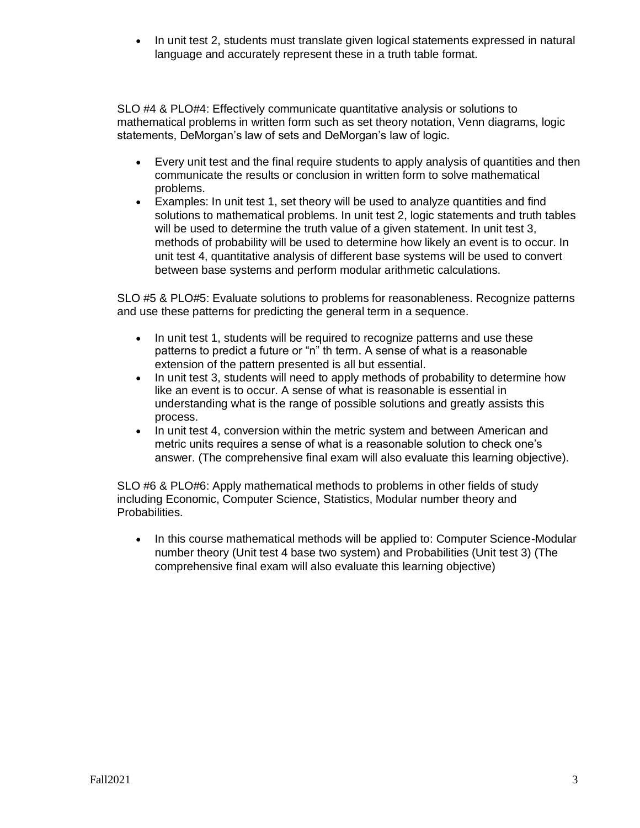• In unit test 2, students must translate given logical statements expressed in natural language and accurately represent these in a truth table format.

SLO #4 & PLO#4: Effectively communicate quantitative analysis or solutions to mathematical problems in written form such as set theory notation, Venn diagrams, logic statements, DeMorgan's law of sets and DeMorgan's law of logic.

- Every unit test and the final require students to apply analysis of quantities and then communicate the results or conclusion in written form to solve mathematical problems.
- Examples: In unit test 1, set theory will be used to analyze quantities and find solutions to mathematical problems. In unit test 2, logic statements and truth tables will be used to determine the truth value of a given statement. In unit test 3, methods of probability will be used to determine how likely an event is to occur. In unit test 4, quantitative analysis of different base systems will be used to convert between base systems and perform modular arithmetic calculations.

SLO #5 & PLO#5: Evaluate solutions to problems for reasonableness. Recognize patterns and use these patterns for predicting the general term in a sequence.

- In unit test 1, students will be required to recognize patterns and use these patterns to predict a future or "n" th term. A sense of what is a reasonable extension of the pattern presented is all but essential.
- In unit test 3, students will need to apply methods of probability to determine how like an event is to occur. A sense of what is reasonable is essential in understanding what is the range of possible solutions and greatly assists this process.
- In unit test 4, conversion within the metric system and between American and metric units requires a sense of what is a reasonable solution to check one's answer. (The comprehensive final exam will also evaluate this learning objective).

SLO #6 & PLO#6: Apply mathematical methods to problems in other fields of study including Economic, Computer Science, Statistics, Modular number theory and Probabilities.

• In this course mathematical methods will be applied to: Computer Science-Modular number theory (Unit test 4 base two system) and Probabilities (Unit test 3) (The comprehensive final exam will also evaluate this learning objective)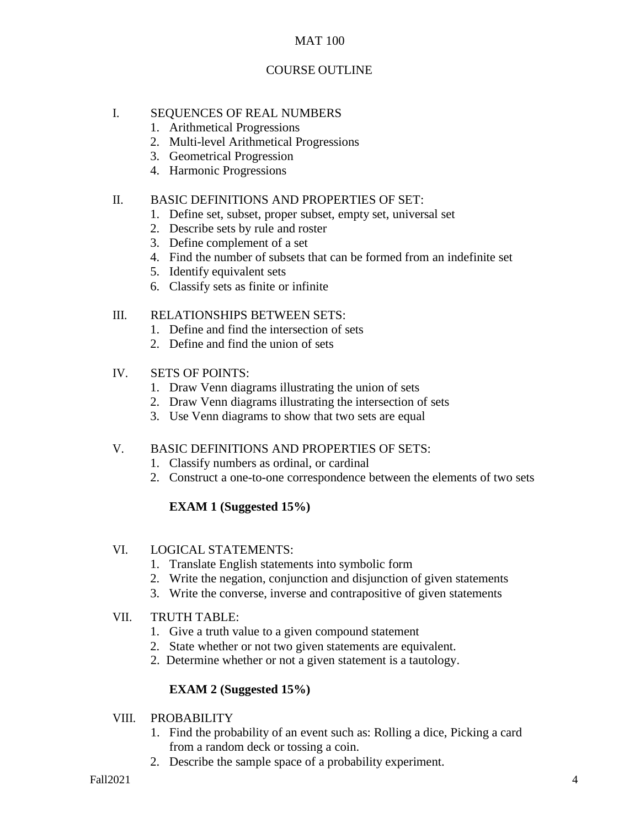## MAT 100

# COURSE OUTLINE

## I. SEQUENCES OF REAL NUMBERS

- 1. Arithmetical Progressions
- 2. Multi-level Arithmetical Progressions
- 3. Geometrical Progression
- 4. Harmonic Progressions

#### II. BASIC DEFINITIONS AND PROPERTIES OF SET:

- 1. Define set, subset, proper subset, empty set, universal set
- 2. Describe sets by rule and roster
- 3. Define complement of a set
- 4. Find the number of subsets that can be formed from an indefinite set
- 5. Identify equivalent sets
- 6. Classify sets as finite or infinite

### III. RELATIONSHIPS BETWEEN SETS:

- 1. Define and find the intersection of sets
- 2. Define and find the union of sets

### IV. SETS OF POINTS:

- 1. Draw Venn diagrams illustrating the union of sets
- 2. Draw Venn diagrams illustrating the intersection of sets
- 3. Use Venn diagrams to show that two sets are equal

## V. BASIC DEFINITIONS AND PROPERTIES OF SETS:

- 1. Classify numbers as ordinal, or cardinal
- 2. Construct a one-to-one correspondence between the elements of two sets

## **EXAM 1 (Suggested 15%)**

## VI. LOGICAL STATEMENTS:

- 1. Translate English statements into symbolic form
- 2. Write the negation, conjunction and disjunction of given statements
- 3. Write the converse, inverse and contrapositive of given statements

## VII. TRUTH TABLE:

- 1. Give a truth value to a given compound statement
- 2. State whether or not two given statements are equivalent.
- 2. Determine whether or not a given statement is a tautology.

## **EXAM 2 (Suggested 15%)**

#### VIII. PROBABILITY

- 1. Find the probability of an event such as: Rolling a dice, Picking a card from a random deck or tossing a coin.
- 2. Describe the sample space of a probability experiment.